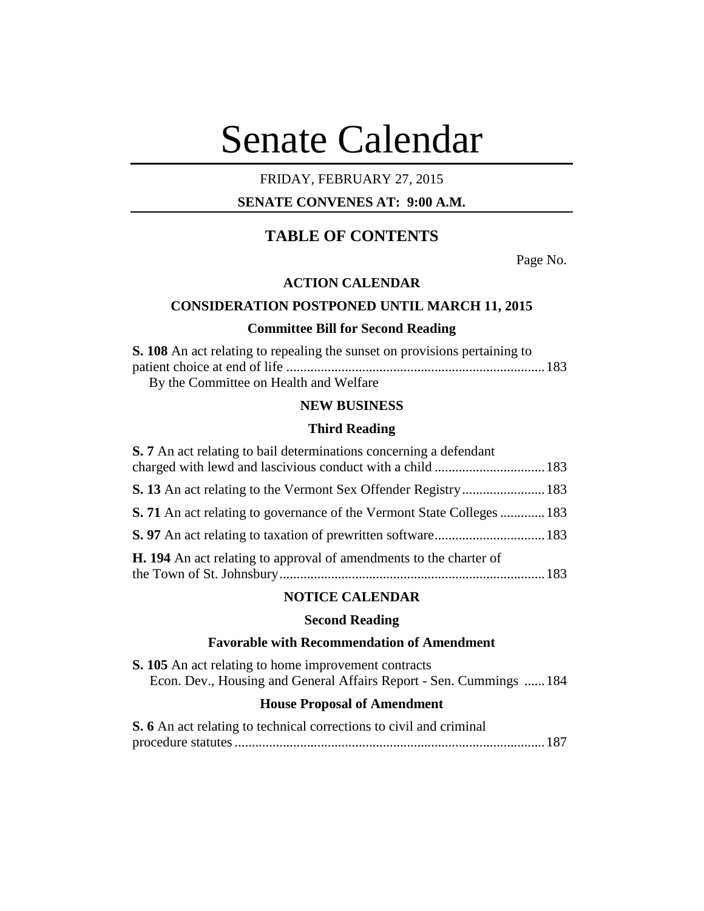# Senate Calendar

## FRIDAY, FEBRUARY 27, 2015

## **SENATE CONVENES AT: 9:00 A.M.**

# **TABLE OF CONTENTS**

Page No.

## **ACTION CALENDAR**

## **CONSIDERATION POSTPONED UNTIL MARCH 11, 2015**

## **Committee Bill for Second Reading**

| <b>S. 108</b> An act relating to repealing the sunset on provisions pertaining to |  |
|-----------------------------------------------------------------------------------|--|
|                                                                                   |  |
| By the Committee on Health and Welfare                                            |  |

## **NEW BUSINESS**

#### **Third Reading**

| <b>S.</b> 7 An act relating to bail determinations concerning a defendant     |  |
|-------------------------------------------------------------------------------|--|
|                                                                               |  |
|                                                                               |  |
| <b>S. 71</b> An act relating to governance of the Vermont State Colleges  183 |  |
|                                                                               |  |
| <b>H. 194</b> An act relating to approval of amendments to the charter of     |  |

## **NOTICE CALENDAR**

## **Second Reading**

## **Favorable with Recommendation of Amendment**

**S. 105** An act relating to home improvement contracts Econ. Dev., Housing and General Affairs Report - Sen. Cummings ......184

## **House Proposal of Amendment**

| S. 6 An act relating to technical corrections to civil and criminal |  |
|---------------------------------------------------------------------|--|
|                                                                     |  |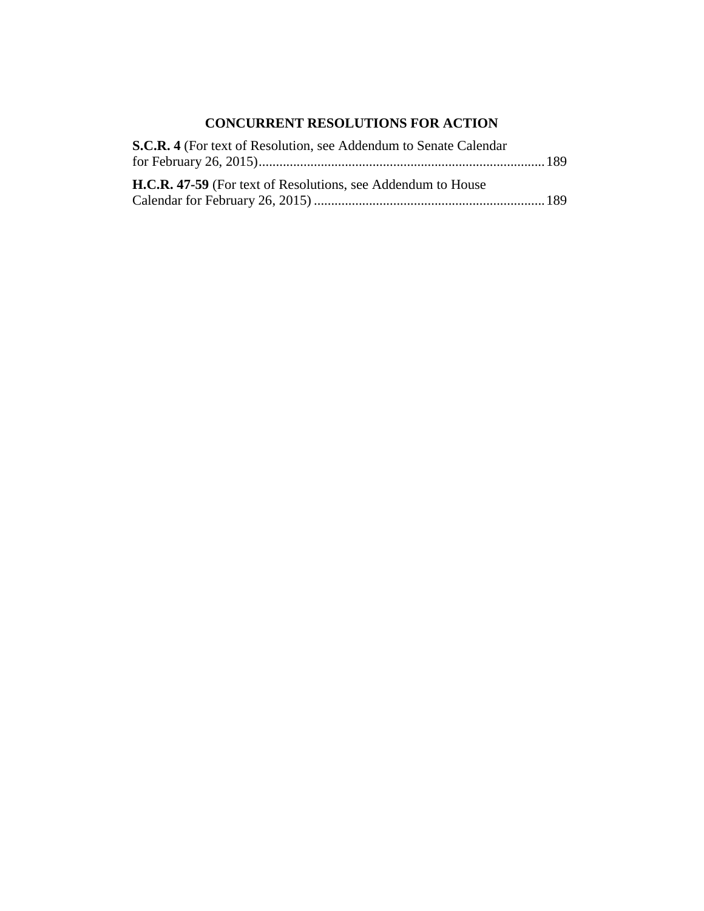# **CONCURRENT RESOLUTIONS FOR ACTION**

| S.C.R. 4 (For text of Resolution, see Addendum to Senate Calendar   |  |
|---------------------------------------------------------------------|--|
|                                                                     |  |
| <b>H.C.R. 47-59</b> (For text of Resolutions, see Addendum to House |  |
|                                                                     |  |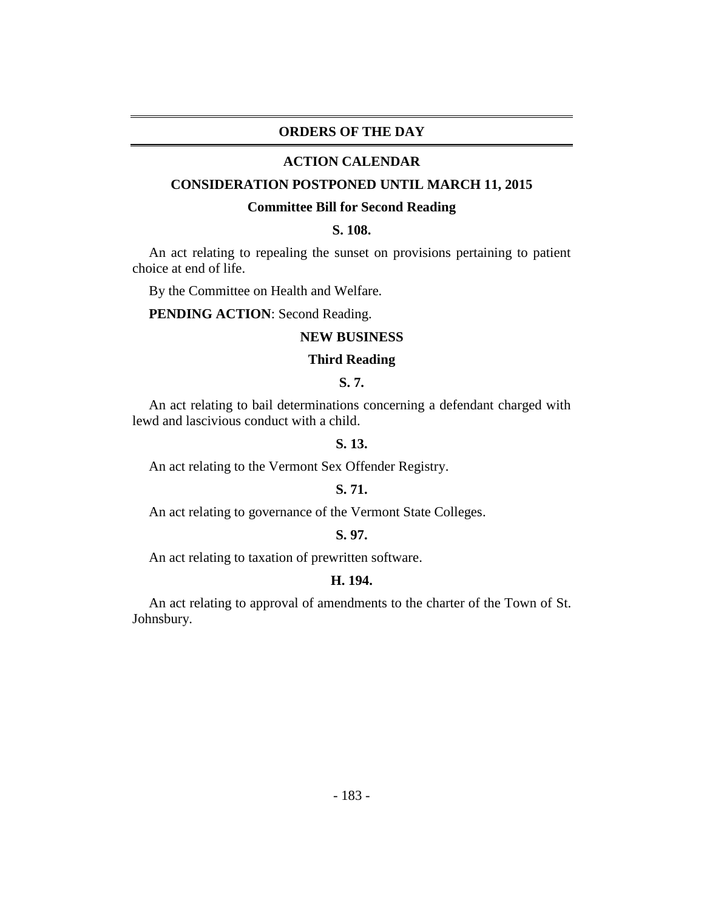## **ORDERS OF THE DAY**

### **ACTION CALENDAR**

## **CONSIDERATION POSTPONED UNTIL MARCH 11, 2015**

#### **Committee Bill for Second Reading**

## **S. 108.**

An act relating to repealing the sunset on provisions pertaining to patient choice at end of life.

By the Committee on Health and Welfare.

**PENDING ACTION**: Second Reading.

## **NEW BUSINESS**

## **Third Reading**

## **S. 7.**

An act relating to bail determinations concerning a defendant charged with lewd and lascivious conduct with a child.

## **S. 13.**

An act relating to the Vermont Sex Offender Registry.

## **S. 71.**

An act relating to governance of the Vermont State Colleges.

## **S. 97.**

An act relating to taxation of prewritten software.

#### **H. 194.**

An act relating to approval of amendments to the charter of the Town of St. Johnsbury.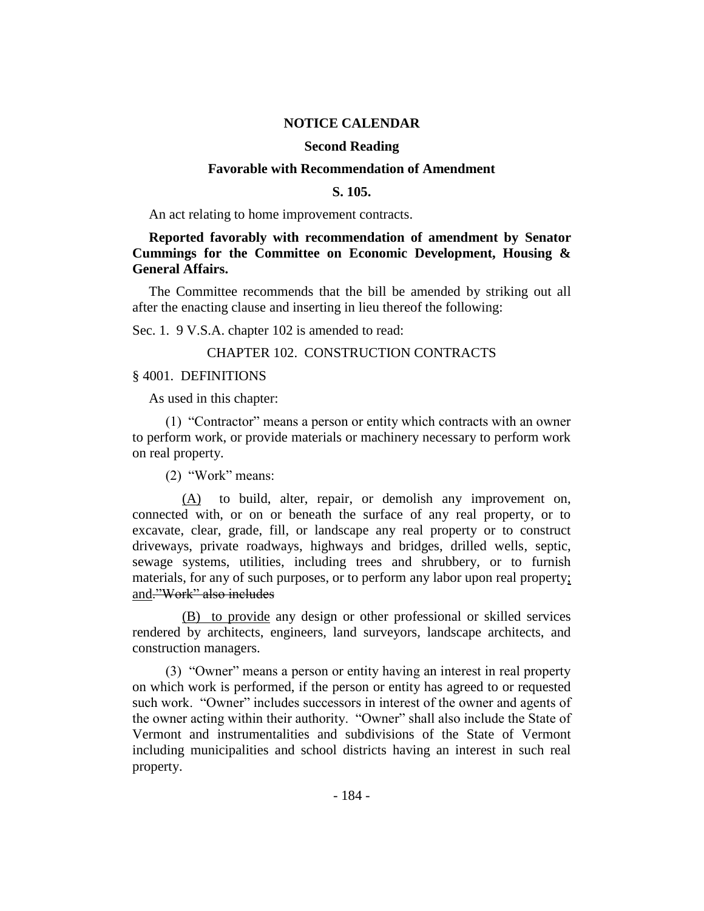## **NOTICE CALENDAR**

## **Second Reading**

#### **Favorable with Recommendation of Amendment**

## **S. 105.**

An act relating to home improvement contracts.

## **Reported favorably with recommendation of amendment by Senator Cummings for the Committee on Economic Development, Housing & General Affairs.**

The Committee recommends that the bill be amended by striking out all after the enacting clause and inserting in lieu thereof the following:

Sec. 1. 9 V.S.A. chapter 102 is amended to read:

## CHAPTER 102. CONSTRUCTION CONTRACTS

#### § 4001. DEFINITIONS

As used in this chapter:

(1) "Contractor" means a person or entity which contracts with an owner to perform work, or provide materials or machinery necessary to perform work on real property.

(2) "Work" means:

(A) to build, alter, repair, or demolish any improvement on, connected with, or on or beneath the surface of any real property, or to excavate, clear, grade, fill, or landscape any real property or to construct driveways, private roadways, highways and bridges, drilled wells, septic, sewage systems, utilities, including trees and shrubbery, or to furnish materials, for any of such purposes, or to perform any labor upon real property; and."Work" also includes

(B) to provide any design or other professional or skilled services rendered by architects, engineers, land surveyors, landscape architects, and construction managers.

(3) "Owner" means a person or entity having an interest in real property on which work is performed, if the person or entity has agreed to or requested such work. "Owner" includes successors in interest of the owner and agents of the owner acting within their authority. "Owner" shall also include the State of Vermont and instrumentalities and subdivisions of the State of Vermont including municipalities and school districts having an interest in such real property.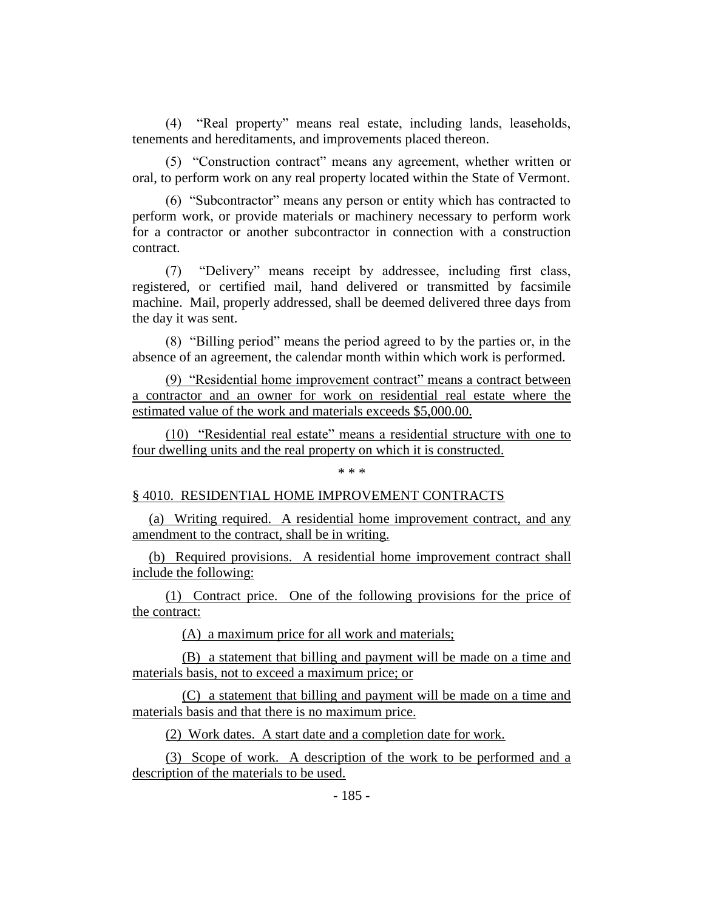(4) "Real property" means real estate, including lands, leaseholds, tenements and hereditaments, and improvements placed thereon.

(5) "Construction contract" means any agreement, whether written or oral, to perform work on any real property located within the State of Vermont.

(6) "Subcontractor" means any person or entity which has contracted to perform work, or provide materials or machinery necessary to perform work for a contractor or another subcontractor in connection with a construction contract.

(7) "Delivery" means receipt by addressee, including first class, registered, or certified mail, hand delivered or transmitted by facsimile machine. Mail, properly addressed, shall be deemed delivered three days from the day it was sent.

(8) "Billing period" means the period agreed to by the parties or, in the absence of an agreement, the calendar month within which work is performed.

(9) "Residential home improvement contract" means a contract between a contractor and an owner for work on residential real estate where the estimated value of the work and materials exceeds \$5,000.00.

(10) "Residential real estate" means a residential structure with one to four dwelling units and the real property on which it is constructed.

\* \* \*

## § 4010. RESIDENTIAL HOME IMPROVEMENT CONTRACTS

(a) Writing required. A residential home improvement contract, and any amendment to the contract, shall be in writing.

(b) Required provisions. A residential home improvement contract shall include the following:

(1) Contract price. One of the following provisions for the price of the contract:

(A) a maximum price for all work and materials;

(B) a statement that billing and payment will be made on a time and materials basis, not to exceed a maximum price; or

(C) a statement that billing and payment will be made on a time and materials basis and that there is no maximum price.

(2) Work dates. A start date and a completion date for work.

(3) Scope of work. A description of the work to be performed and a description of the materials to be used.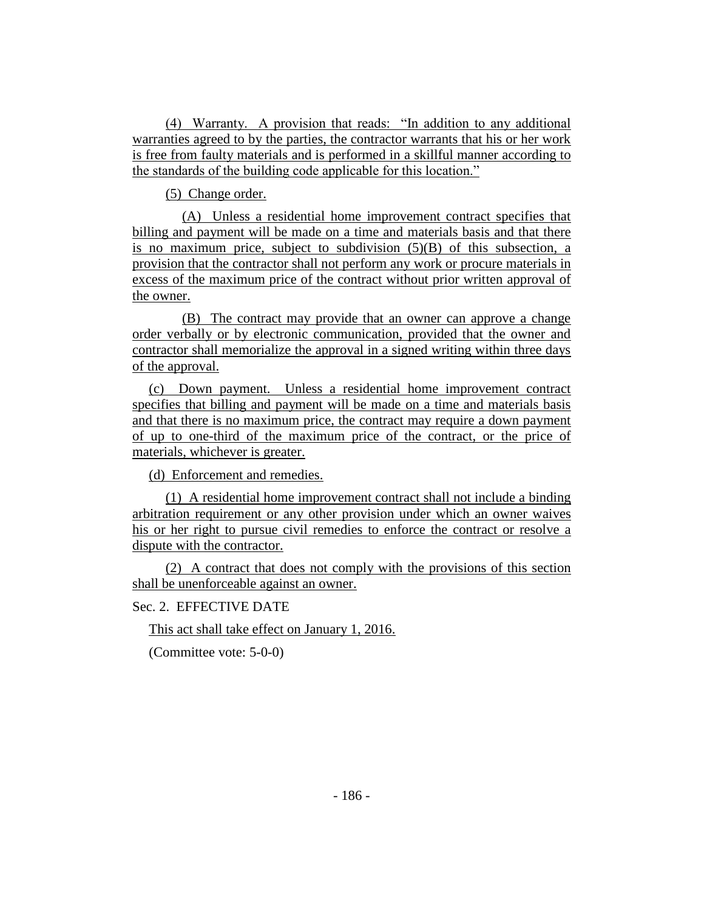(4) Warranty. A provision that reads: "In addition to any additional warranties agreed to by the parties, the contractor warrants that his or her work is free from faulty materials and is performed in a skillful manner according to the standards of the building code applicable for this location."

(5) Change order.

(A) Unless a residential home improvement contract specifies that billing and payment will be made on a time and materials basis and that there is no maximum price, subject to subdivision  $(5)(B)$  of this subsection, a provision that the contractor shall not perform any work or procure materials in excess of the maximum price of the contract without prior written approval of the owner.

(B) The contract may provide that an owner can approve a change order verbally or by electronic communication, provided that the owner and contractor shall memorialize the approval in a signed writing within three days of the approval.

(c) Down payment. Unless a residential home improvement contract specifies that billing and payment will be made on a time and materials basis and that there is no maximum price, the contract may require a down payment of up to one-third of the maximum price of the contract, or the price of materials, whichever is greater.

(d) Enforcement and remedies.

(1) A residential home improvement contract shall not include a binding arbitration requirement or any other provision under which an owner waives his or her right to pursue civil remedies to enforce the contract or resolve a dispute with the contractor.

(2) A contract that does not comply with the provisions of this section shall be unenforceable against an owner.

## Sec. 2. EFFECTIVE DATE

This act shall take effect on January 1, 2016.

(Committee vote: 5-0-0)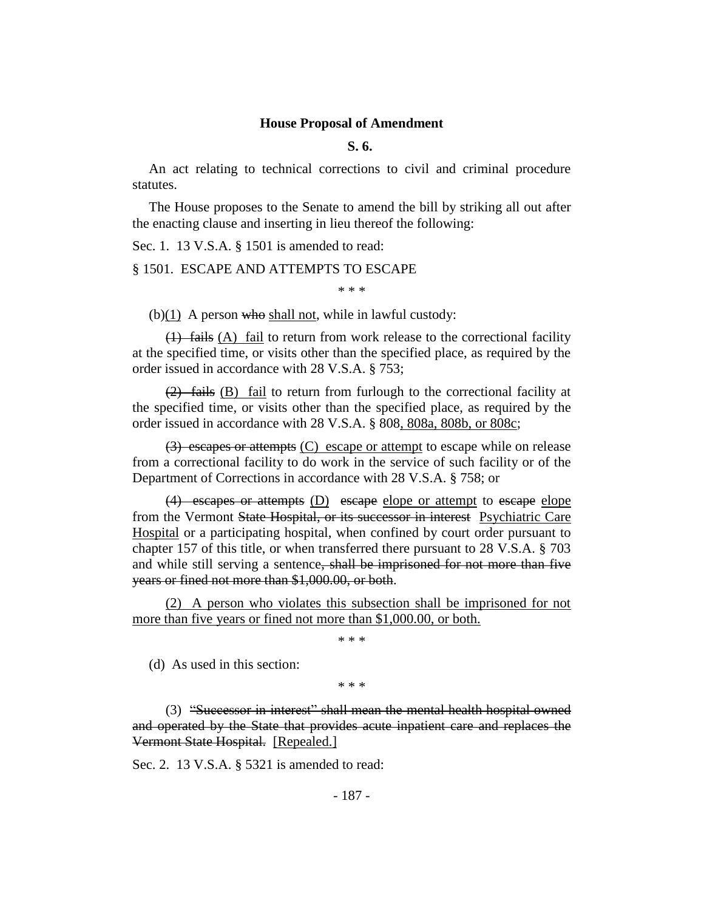#### **House Proposal of Amendment**

**S. 6.**

An act relating to technical corrections to civil and criminal procedure statutes.

The House proposes to the Senate to amend the bill by striking all out after the enacting clause and inserting in lieu thereof the following:

Sec. 1. 13 V.S.A. § 1501 is amended to read:

§ 1501. ESCAPE AND ATTEMPTS TO ESCAPE

\* \* \*

(b) $(1)$  A person who shall not, while in lawful custody:

 $(1)$  fails  $(A)$  fail to return from work release to the correctional facility at the specified time, or visits other than the specified place, as required by the order issued in accordance with 28 V.S.A. § 753;

(2) fails (B) fail to return from furlough to the correctional facility at the specified time, or visits other than the specified place, as required by the order issued in accordance with 28 V.S.A. § 808, 808a, 808b, or 808c;

(3) escapes or attempts (C) escape or attempt to escape while on release from a correctional facility to do work in the service of such facility or of the Department of Corrections in accordance with 28 V.S.A. § 758; or

(4) escapes or attempts (D) escape elope or attempt to escape elope from the Vermont State Hospital, or its successor in interest Psychiatric Care Hospital or a participating hospital, when confined by court order pursuant to chapter 157 of this title, or when transferred there pursuant to 28 V.S.A. § 703 and while still serving a sentence, shall be imprisoned for not more than five years or fined not more than \$1,000.00, or both.

(2) A person who violates this subsection shall be imprisoned for not more than five years or fined not more than \$1,000.00, or both.

\* \* \*

(d) As used in this section:

\* \* \*

(3) "Successor in interest" shall mean the mental health hospital owned and operated by the State that provides acute inpatient care and replaces the Vermont State Hospital. [Repealed.]

Sec. 2. 13 V.S.A. § 5321 is amended to read: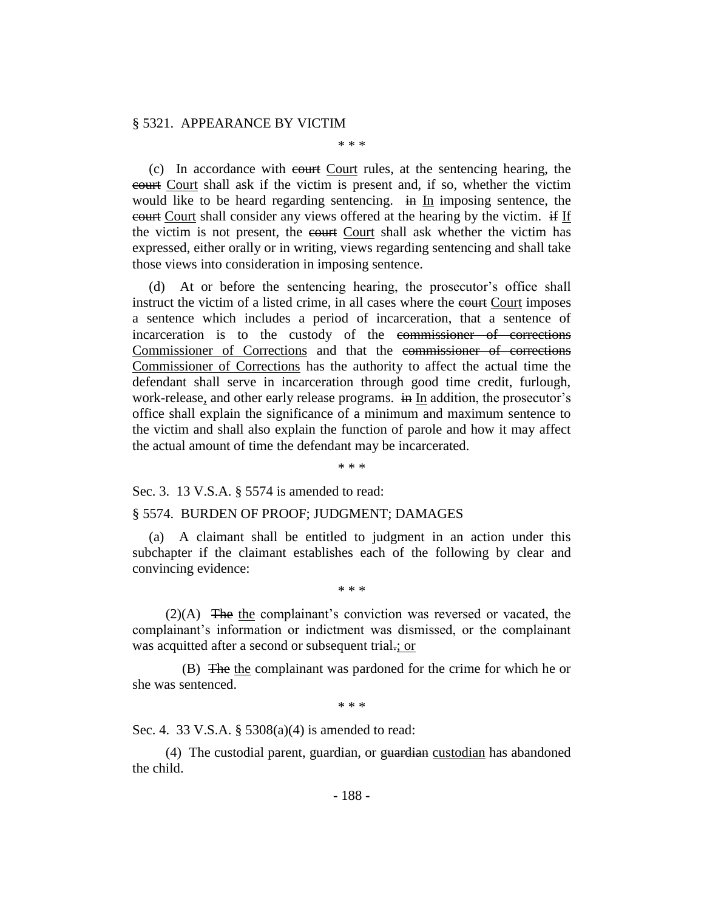#### § 5321. APPEARANCE BY VICTIM

\* \* \*

(c) In accordance with court Court rules, at the sentencing hearing, the court Court shall ask if the victim is present and, if so, whether the victim would like to be heard regarding sentencing.  $\overline{in}$  In imposing sentence, the court Court shall consider any views offered at the hearing by the victim. if If the victim is not present, the court Court shall ask whether the victim has expressed, either orally or in writing, views regarding sentencing and shall take those views into consideration in imposing sentence.

(d) At or before the sentencing hearing, the prosecutor's office shall instruct the victim of a listed crime, in all cases where the court imposes a sentence which includes a period of incarceration, that a sentence of incarceration is to the custody of the commissioner of corrections Commissioner of Corrections and that the commissioner of corrections Commissioner of Corrections has the authority to affect the actual time the defendant shall serve in incarceration through good time credit, furlough, work-release, and other early release programs. in In addition, the prosecutor's office shall explain the significance of a minimum and maximum sentence to the victim and shall also explain the function of parole and how it may affect the actual amount of time the defendant may be incarcerated.

\* \* \*

Sec. 3. 13 V.S.A. § 5574 is amended to read:

#### § 5574. BURDEN OF PROOF; JUDGMENT; DAMAGES

(a) A claimant shall be entitled to judgment in an action under this subchapter if the claimant establishes each of the following by clear and convincing evidence:

\* \* \*

(2)(A) The the complainant's conviction was reversed or vacated, the complainant's information or indictment was dismissed, or the complainant was acquitted after a second or subsequent trial.; or

(B) The the complainant was pardoned for the crime for which he or she was sentenced.

\* \* \*

Sec. 4. 33 V.S.A. § 5308(a)(4) is amended to read:

(4) The custodial parent, guardian, or guardian custodian has abandoned the child.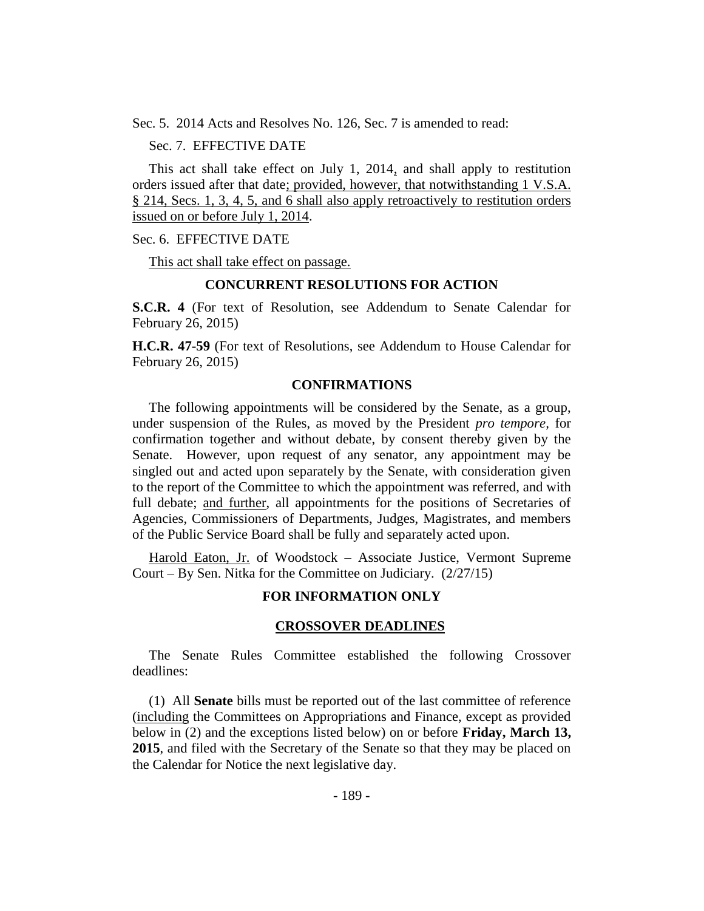Sec. 5. 2014 Acts and Resolves No. 126, Sec. 7 is amended to read:

Sec. 7. EFFECTIVE DATE

This act shall take effect on July 1, 2014, and shall apply to restitution orders issued after that date; provided, however, that notwithstanding 1 V.S.A. § 214, Secs. 1, 3, 4, 5, and 6 shall also apply retroactively to restitution orders issued on or before July 1, 2014.

#### Sec. 6. EFFECTIVE DATE

This act shall take effect on passage.

## **CONCURRENT RESOLUTIONS FOR ACTION**

**S.C.R. 4** (For text of Resolution, see Addendum to Senate Calendar for February 26, 2015)

**H.C.R. 47-59** (For text of Resolutions, see Addendum to House Calendar for February 26, 2015)

### **CONFIRMATIONS**

The following appointments will be considered by the Senate, as a group, under suspension of the Rules, as moved by the President *pro tempore,* for confirmation together and without debate, by consent thereby given by the Senate. However, upon request of any senator, any appointment may be singled out and acted upon separately by the Senate, with consideration given to the report of the Committee to which the appointment was referred, and with full debate; and further, all appointments for the positions of Secretaries of Agencies, Commissioners of Departments, Judges, Magistrates, and members of the Public Service Board shall be fully and separately acted upon.

Harold Eaton, Jr. of Woodstock – Associate Justice, Vermont Supreme Court – By Sen. Nitka for the Committee on Judiciary. (2/27/15)

## **FOR INFORMATION ONLY**

#### **CROSSOVER DEADLINES**

The Senate Rules Committee established the following Crossover deadlines:

(1) All **Senate** bills must be reported out of the last committee of reference (including the Committees on Appropriations and Finance, except as provided below in (2) and the exceptions listed below) on or before **Friday, March 13, 2015**, and filed with the Secretary of the Senate so that they may be placed on the Calendar for Notice the next legislative day.